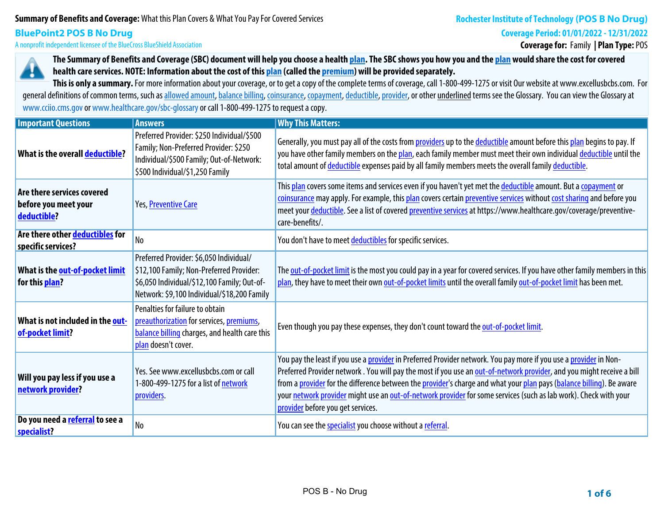# **Summary of Benefits and Coverage:What this Plan Covers & What You Pay For Covered Services**

#### **Coverage Period: 01/01/2022 - 12/31/2022**

**BluePoint2 POS B No Drug A nonprofit independent licensee of the BlueCross BlueShield Association**

**Coverage for: Family | Plan Type: POS**



**The Summary of Benefits and Coverage (SBC) document will help you choose a health plan. The SBC shows you how you and the plan would share the cost for covered health care services. NOTE: Information about the cost of this plan (called the premium) will be provided separately.**

This is only a summary. For more information about your coverage, or to get a copy of the complete terms of coverage, call 1-800-499-1275 or visit Our website at www.excellusbcbs.com. For general definitions of common terms, such as allowed amount, balance billing, coinsurance, copayment, deductible, provider, or other underlined terms see the Glossary. You can view the Glossary at **www.cciio.cms.gov or www.healthcare.gov/sbc-glossary or call 1-800-499-1275 to request a copy.**

| <b>Important Questions</b>                                        | <b>Answers</b>                                                                                                                                                                    | <b>Why This Matters:</b>                                                                                                                                                                                                                                                                                                                                                                                                                                                                                                    |
|-------------------------------------------------------------------|-----------------------------------------------------------------------------------------------------------------------------------------------------------------------------------|-----------------------------------------------------------------------------------------------------------------------------------------------------------------------------------------------------------------------------------------------------------------------------------------------------------------------------------------------------------------------------------------------------------------------------------------------------------------------------------------------------------------------------|
| What is the overall deductible?                                   | Preferred Provider: \$250 Individual/\$500<br>Family; Non-Preferred Provider: \$250<br>Individual/\$500 Family; Out-of-Network:<br>\$500 Individual/\$1,250 Family                | Generally, you must pay all of the costs from providers up to the deductible amount before this plan begins to pay. If<br>you have other family members on the plan, each family member must meet their own individual deductible until the<br>total amount of deductible expenses paid by all family members meets the overall family deductible.                                                                                                                                                                          |
| Are there services covered<br>before you meet your<br>deductible? | Yes, Preventive Care                                                                                                                                                              | This plan covers some items and services even if you haven't yet met the deductible amount. But a copayment or<br>coinsurance may apply. For example, this plan covers certain preventive services without cost sharing and before you<br>meet your deductible. See a list of covered preventive services at https://www.healthcare.gov/coverage/preventive-<br>care-benefits/.                                                                                                                                             |
| Are there other deductibles for<br>specific services?             | No                                                                                                                                                                                | You don't have to meet deductibles for specific services.                                                                                                                                                                                                                                                                                                                                                                                                                                                                   |
| What is the out-of-pocket limit<br>for this plan?                 | Preferred Provider: \$6,050 Individual/<br>\$12,100 Family; Non-Preferred Provider:<br>\$6,050 Individual/\$12,100 Family; Out-of-<br>Network: \$9,100 Individual/\$18,200 Family | The out-of-pocket limit is the most you could pay in a year for covered services. If you have other family members in this<br>plan, they have to meet their own out-of-pocket limits until the overall family out-of-pocket limit has been met.                                                                                                                                                                                                                                                                             |
| What is not included in the out-<br>of-pocket limit?              | Penalties for failure to obtain<br>preauthorization for services, premiums,<br>balance billing charges, and health care this<br>plan doesn't cover.                               | Even though you pay these expenses, they don't count toward the out-of-pocket limit.                                                                                                                                                                                                                                                                                                                                                                                                                                        |
| Will you pay less if you use a<br>network provider?               | Yes. See www.excellusbcbs.com or call<br>1-800-499-1275 for a list of network<br>providers.                                                                                       | You pay the least if you use a provider in Preferred Provider network. You pay more if you use a provider in Non-<br>Preferred Provider network. You will pay the most if you use an out-of-network provider, and you might receive a bill<br>from a provider for the difference between the provider's charge and what your plan pays (balance billing). Be aware<br>your network provider might use an out-of-network provider for some services (such as lab work). Check with your<br>provider before you get services. |
| Do you need a referral to see a<br>specialist?                    | No                                                                                                                                                                                | You can see the specialist you choose without a referral.                                                                                                                                                                                                                                                                                                                                                                                                                                                                   |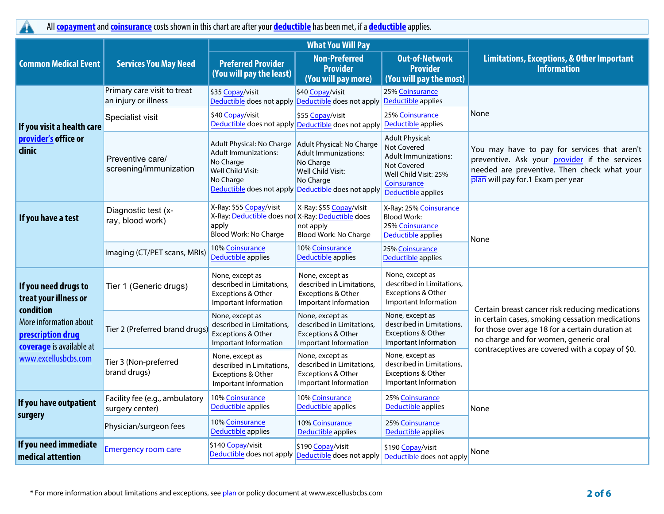**All copayment and coinsurance costs shown in this chart are after your deductible has been met, if a deductible applies.**

|                                                                                      |                                                                                                                                                                                                                            |                                                                                                                                                                                            | <b>What You Will Pay</b>                                                                               |                                                                                                                                                   |                                                                                                                                                                                                |  |
|--------------------------------------------------------------------------------------|----------------------------------------------------------------------------------------------------------------------------------------------------------------------------------------------------------------------------|--------------------------------------------------------------------------------------------------------------------------------------------------------------------------------------------|--------------------------------------------------------------------------------------------------------|---------------------------------------------------------------------------------------------------------------------------------------------------|------------------------------------------------------------------------------------------------------------------------------------------------------------------------------------------------|--|
| <b>Common Medical Event</b>                                                          | <b>Services You May Need</b>                                                                                                                                                                                               | <b>Preferred Provider</b><br>(You will pay the least)                                                                                                                                      | <b>Non-Preferred</b><br><b>Provider</b><br>(You will pay more)                                         | <b>Out-of-Network</b><br><b>Provider</b><br>(You will pay the most)                                                                               | <b>Limitations, Exceptions, &amp; Other Important</b><br><b>Information</b>                                                                                                                    |  |
|                                                                                      | Primary care visit to treat<br>an injury or illness                                                                                                                                                                        | \$35 Copay/visit                                                                                                                                                                           | \$40 Copay/visit<br>Deductible does not apply Deductible does not apply                                | <b>25% Coinsurance</b><br>Deductible applies                                                                                                      |                                                                                                                                                                                                |  |
| If you visit a health care                                                           | Specialist visit                                                                                                                                                                                                           | \$40 Copay/visit                                                                                                                                                                           | \$55 Copay/visit<br>Deductible does not apply Deductible does not apply                                | <b>25% Coinsurance</b><br>Deductible applies                                                                                                      | None                                                                                                                                                                                           |  |
| provider's office or<br>clinic                                                       | Preventive care/<br>screening/immunization                                                                                                                                                                                 | Adult Physical: No Charge   Adult Physical: No Charge<br><b>Adult Immunizations:</b><br>No Charge<br>Well Child Visit:<br>No Charge<br>Deductible does not apply Deductible does not apply | <b>Adult Immunizations:</b><br>No Charge<br>Well Child Visit:<br>No Charge                             | <b>Adult Physical:</b><br>Not Covered<br><b>Adult Immunizations:</b><br>Not Covered<br>Well Child Visit: 25%<br>Coinsurance<br>Deductible applies | You may have to pay for services that aren't<br>preventive. Ask your provider if the services<br>needed are preventive. Then check what your<br>plan will pay for.1 Exam per year              |  |
| If you have a test                                                                   | X-Ray: \$55 Copay/visit<br>X-Ray: \$55 Copay/visit<br>Diagnostic test (x-<br>X-Ray: Deductible does not X-Ray: Deductible does<br>ray, blood work)<br>apply<br>not apply<br>Blood Work: No Charge<br>Blood Work: No Charge |                                                                                                                                                                                            | X-Ray: 25% Coinsurance<br><b>Blood Work:</b><br>25% Coinsurance<br>Deductible applies                  | None                                                                                                                                              |                                                                                                                                                                                                |  |
|                                                                                      | Imaging (CT/PET scans, MRIs)                                                                                                                                                                                               | 10% Coinsurance<br>Deductible applies                                                                                                                                                      | 10% Coinsurance<br>Deductible applies                                                                  | 25% Coinsurance<br>Deductible applies                                                                                                             |                                                                                                                                                                                                |  |
| If you need drugs to<br>treat your illness or                                        | Tier 1 (Generic drugs)                                                                                                                                                                                                     | None, except as<br>described in Limitations,<br><b>Exceptions &amp; Other</b><br>Important Information                                                                                     | None, except as<br>described in Limitations,<br><b>Exceptions &amp; Other</b><br>Important Information | None, except as<br>described in Limitations,<br><b>Exceptions &amp; Other</b><br>Important Information                                            | Certain breast cancer risk reducing medications                                                                                                                                                |  |
| condition<br>More information about<br>prescription drug<br>coverage is available at | Tier 2 (Preferred brand drugs                                                                                                                                                                                              | None, except as<br>described in Limitations,<br>Exceptions & Other<br>Important Information                                                                                                | None, except as<br>described in Limitations,<br>Exceptions & Other<br>Important Information            | None, except as<br>described in Limitations,<br>Exceptions & Other<br>Important Information                                                       | in certain cases, smoking cessation medications<br>for those over age 18 for a certain duration at<br>no charge and for women, generic oral<br>contraceptives are covered with a copay of \$0. |  |
| www.excellusbcbs.com                                                                 | Tier 3 (Non-preferred<br>brand drugs)                                                                                                                                                                                      | None, except as<br>described in Limitations.<br>Exceptions & Other<br>Important Information                                                                                                | None, except as<br>described in Limitations,<br>Exceptions & Other<br>Important Information            | None, except as<br>described in Limitations,<br>Exceptions & Other<br>Important Information                                                       |                                                                                                                                                                                                |  |
| If you have outpatient                                                               | Facility fee (e.g., ambulatory<br>surgery center)                                                                                                                                                                          | 10% Coinsurance<br>Deductible applies                                                                                                                                                      | 10% Coinsurance<br>Deductible applies                                                                  | 25% Coinsurance<br>Deductible applies                                                                                                             | None                                                                                                                                                                                           |  |
| surgery                                                                              | Physician/surgeon fees                                                                                                                                                                                                     | 10% Coinsurance<br>Deductible applies                                                                                                                                                      | 10% Coinsurance<br>Deductible applies                                                                  | <b>25% Coinsurance</b><br>Deductible applies                                                                                                      |                                                                                                                                                                                                |  |
| If you need immediate<br>medical attention                                           | <b>Emergency room care</b>                                                                                                                                                                                                 | \$140 Copay/visit<br>Deductible does not apply Deductible does not apply                                                                                                                   | \$190 Copay/visit                                                                                      | \$190 Copay/visit<br>Deductible does not apply                                                                                                    | None                                                                                                                                                                                           |  |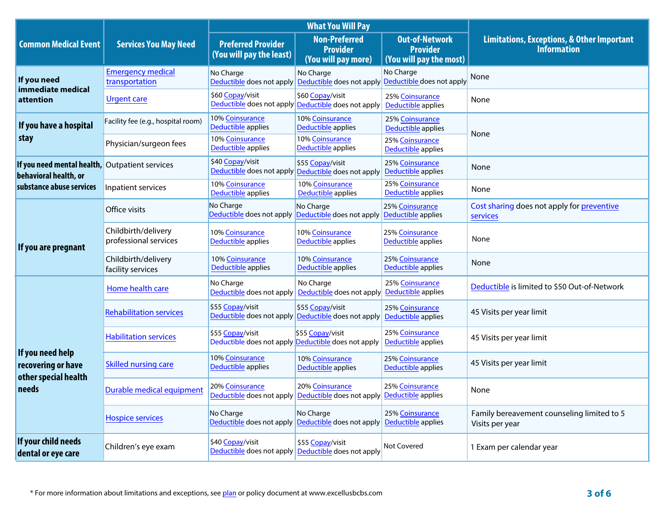|                                                                         |                                              |                                                                         | <b>What You Will Pay</b>                                                                  |                                                                     |                                                                             |  |
|-------------------------------------------------------------------------|----------------------------------------------|-------------------------------------------------------------------------|-------------------------------------------------------------------------------------------|---------------------------------------------------------------------|-----------------------------------------------------------------------------|--|
| <b>Common Medical Event</b>                                             | <b>Services You May Need</b>                 | <b>Preferred Provider</b><br>(You will pay the least)                   | <b>Non-Preferred</b><br><b>Provider</b><br>(You will pay more)                            | <b>Out-of-Network</b><br><b>Provider</b><br>(You will pay the most) | <b>Limitations, Exceptions, &amp; Other Important</b><br><b>Information</b> |  |
| If you need                                                             | <b>Emergency medical</b><br>transportation   | No Charge<br>Deductible does not apply                                  | No Charge<br>Deductible does not apply                                                    | No Charge<br>Deductible does not apply                              | None                                                                        |  |
| immediate medical<br>attention                                          | Urgent care                                  | \$60 Copay/visit                                                        | \$60 Copay/visit<br>Deductible does not apply Deductible does not apply                   | 25% Coinsurance<br>Deductible applies                               | None                                                                        |  |
| If you have a hospital                                                  | Facility fee (e.g., hospital room)           | 10% Coinsurance<br>Deductible applies                                   | 10% Coinsurance<br>Deductible applies                                                     | 25% Coinsurance<br>Deductible applies                               |                                                                             |  |
| stay                                                                    | Physician/surgeon fees                       | 10% Coinsurance<br>Deductible applies                                   | 10% Coinsurance<br>Deductible applies                                                     | 25% Coinsurance<br>Deductible applies                               | None                                                                        |  |
| If you need mental health, Outpatient services<br>behavioral health, or |                                              | \$40 Copay/visit                                                        | \$55 Copay/visit<br>Deductible does not apply Deductible does not apply                   | 25% Coinsurance<br>Deductible applies                               | None                                                                        |  |
| substance abuse services                                                | Inpatient services                           | 10% Coinsurance<br>Deductible applies                                   | 10% Coinsurance<br>Deductible applies                                                     | 25% Coinsurance<br>Deductible applies                               | None                                                                        |  |
|                                                                         | Office visits                                | No Charge                                                               | No Charge<br>Deductible does not apply Deductible does not apply                          | 25% Coinsurance<br>Deductible applies                               | Cost sharing does not apply for preventive<br>services                      |  |
| If you are pregnant                                                     | Childbirth/delivery<br>professional services | 10% Coinsurance<br>Deductible applies                                   | 10% Coinsurance<br>Deductible applies                                                     | 25% Coinsurance<br>Deductible applies                               | None                                                                        |  |
|                                                                         | Childbirth/delivery<br>facility services     | 10% Coinsurance<br>Deductible applies                                   | 10% Coinsurance<br>Deductible applies                                                     | 25% Coinsurance<br>Deductible applies                               | None                                                                        |  |
|                                                                         | Home health care                             | No Charge                                                               | No Charge<br>Deductible does not apply Deductible does not apply                          | 25% Coinsurance<br>Deductible applies                               | Deductible is limited to \$50 Out-of-Network                                |  |
|                                                                         | <b>Rehabilitation services</b>               | \$55 Copay/visit<br>Deductible does not apply Deductible does not apply | \$55 Copay/visit                                                                          | 25% Coinsurance<br>Deductible applies                               | 45 Visits per year limit                                                    |  |
|                                                                         | <b>Habilitation services</b>                 | \$55 Copay/visit<br>Deductible does not apply Deductible does not apply | \$55 Copay/visit                                                                          | 25% Coinsurance<br>Deductible applies                               | 45 Visits per year limit                                                    |  |
| If you need help<br>recovering or have<br>other special health          | <b>Skilled nursing care</b>                  | 10% Coinsurance<br>Deductible applies                                   | 10% Coinsurance<br>Deductible applies                                                     | 25% Coinsurance<br>Deductible applies                               | 45 Visits per year limit                                                    |  |
| needs                                                                   | Durable medical equipment                    | 20% Coinsurance                                                         | 20% Coinsurance<br>Deductible does not apply Deductible does not apply Deductible applies | 25% Coinsurance                                                     | None                                                                        |  |
|                                                                         | <b>Hospice services</b>                      | No Charge<br>Deductible does not apply Deductible does not apply        | No Charge                                                                                 | 25% Coinsurance<br>Deductible applies                               | Family bereavement counseling limited to 5<br>Visits per year               |  |
| If your child needs<br>dental or eye care                               | Children's eye exam                          | \$40 Copay/visit<br>Deductible does not apply Deductible does not apply | \$55 Copay/visit                                                                          | Not Covered                                                         | 1 Exam per calendar year                                                    |  |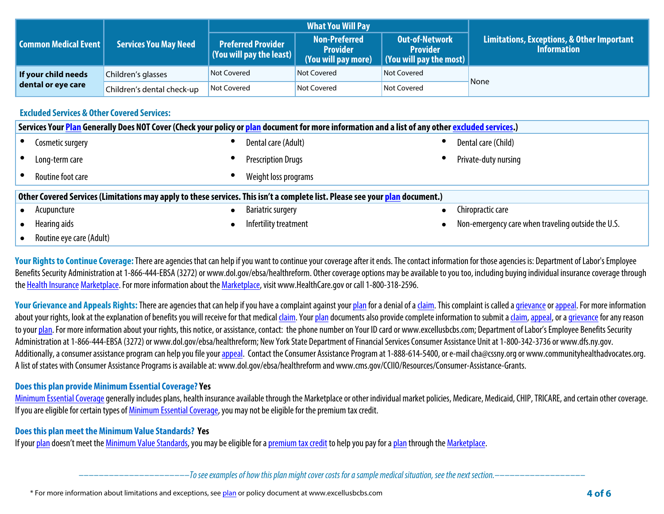|                             |                                   |                                                                     | <b>What You Will Pay</b>                                       |                                                                                     |                                                                             |  |
|-----------------------------|-----------------------------------|---------------------------------------------------------------------|----------------------------------------------------------------|-------------------------------------------------------------------------------------|-----------------------------------------------------------------------------|--|
| <b>Common Medical Event</b> | <b>Services You May Need</b>      | <b>Preferred Provider</b><br>$\mid$ (You will pay the least) $\mid$ | <b>Non-Preferred</b><br><b>Provider</b><br>(You will pay more) | <b>Out-of-Network</b><br><b>Provider</b><br>$\vert$ (You will pay the most) $\vert$ | <b>Limitations, Exceptions, &amp; Other Important</b><br><b>Information</b> |  |
| If your child needs         | Not Covered<br>Children's glasses |                                                                     | Not Covered                                                    | Not Covered                                                                         | None                                                                        |  |
| dental or eye care          | Children's dental check-up        | Not Covered<br>Not Covered                                          |                                                                | Not Covered                                                                         |                                                                             |  |

### **Excluded Services & Other Covered Services:**

|                                                                                                                              | Services Your Plan Generally Does NOT Cover (Check your policy or plan document for more information and a list of any other excluded services.) |           |                           |  |                                                    |  |  |
|------------------------------------------------------------------------------------------------------------------------------|--------------------------------------------------------------------------------------------------------------------------------------------------|-----------|---------------------------|--|----------------------------------------------------|--|--|
|                                                                                                                              | Cosmetic surgery                                                                                                                                 |           | Dental care (Adult)       |  | Dental care (Child)                                |  |  |
|                                                                                                                              | Long-term care                                                                                                                                   |           | <b>Prescription Drugs</b> |  | Private-duty nursing                               |  |  |
|                                                                                                                              | Routine foot care                                                                                                                                |           | Weight loss programs      |  |                                                    |  |  |
| Other Covered Services (Limitations may apply to these services. This isn't a complete list. Please see your plan document.) |                                                                                                                                                  |           |                           |  |                                                    |  |  |
|                                                                                                                              | Acupuncture                                                                                                                                      | $\bullet$ | <b>Bariatric surgery</b>  |  | Chiropractic care                                  |  |  |
|                                                                                                                              | Hearing aids                                                                                                                                     |           | Infertility treatment     |  | Non-emergency care when traveling outside the U.S. |  |  |
|                                                                                                                              | Routine eye care (Adult)                                                                                                                         |           |                           |  |                                                    |  |  |

Your Rights to Continue Coverage: There are agencies that can help if you want to continue your coverage after it ends. The contact information for those agencies is: Department of Labor's Employee Benefits Security Administration at 1-866-444-EBSA (3272) or www.dol.gov/ebsa/healthreform. Other coverage options may be available to you too, including buying individual insurance coverage through **the Health Insurance Marketplace. For more information about the Marketplace, visit www.HealthCare.gov or call 1-800-318-2596.**

Your Grievance and Appeals Rights: There are agencies that can help if you have a complaint against your plan for a denial of a claim. This complaint is called a grievance or appeal. For more information about your rights, look at the explanation of benefits you will receive for that medical claim. Your plan documents also provide complete information to submit a claim, appeal, or a grievance for any reason **to your plan. For more information about your rights, this notice, or assistance, contact: the phone number on Your ID card or www.excellusbcbs.com; Department of Labor's Employee Benefits Security Administration at 1-866-444-EBSA (3272) or www.dol.gov/ebsa/healthreform; New York State Department of Financial Services Consumer Assistance Unitat 1-800-342-3736 or www.dfs.ny.gov.**  Additionally, a consumer assistance program can help you file your appeal. Contact the Consumer Assistance Program at 1-888-614-5400, or e-mail cha@cssny.org or www.communityhealthadvocates.org. **A list of states with Consumer Assistance Programs is available at: www.dol.gov/ebsa/healthreform and www.cms.gov/CCIIO/Resources/Consumer-Assistance-Grants.**

### **Does this plan provide Minimum Essential Coverage? Yes**

**Minimum Essential Coverage generally includes plans, health insurance available through the Marketplace or other individual market policies, Medicare, Medicaid, CHIP, TRICARE, and certain other coverage. If you are eligible for certain types of Minimum Essential Coverage, you may not be eligible for the premium tax credit.**

### **Does this plan meet the Minimum Value Standards? Yes**

**If your plan doesn't meet the Minimum Value Standards, you may be eligible for a premium tax credit to help you pay for a plan through the Marketplace.**

**––––––––––––––––––––––***To see examples of how this plan might cover costs for a sample medical situation, see the next section.–––––––––––***–––––––**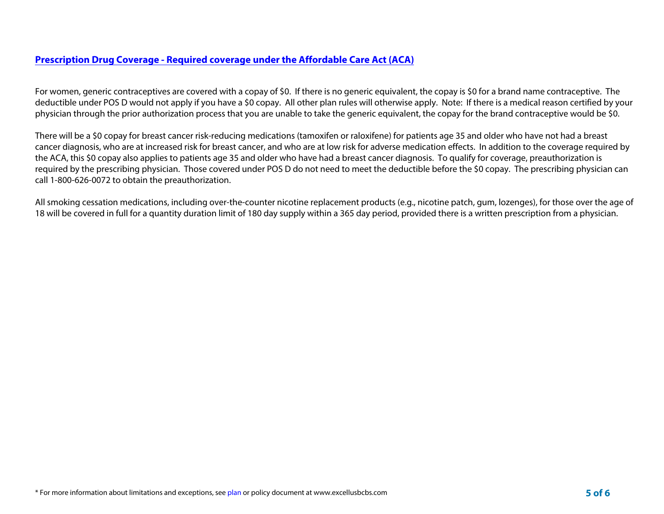# **Prescription Drug Coverage - Required coverage under the Affordable Care Act (ACA)**

For women, generic contraceptives are covered with a copay of \$0. If there is no generic equivalent, the copay is \$0 for a brand name contraceptive. The deductible under POS D would not apply if you have a \$0 copay. All other plan rules will otherwise apply. Note: If there is a medical reason certified by your physician through the prior authorization process that you are unable to take the generic equivalent, the copay for the brand contraceptive would be \$0.

There will be a \$0 copay for breast cancer risk-reducing medications (tamoxifen or raloxifene) for patients age 35 and older who have not had a breast cancer diagnosis, who are at increased risk for breast cancer, and who are at low risk for adverse medication effects. In addition to the coverage required by the ACA, this \$0 copay also applies to patients age 35 and older who have had a breast cancer diagnosis. To qualify for coverage, preauthorization is required by the prescribing physician. Those covered under POS D do not need to meet the deductible before the \$0 copay. The prescribing physician can call 1-800-626-0072 to obtain the preauthorization.

All smoking cessation medications, including over-the-counter nicotine replacement products (e.g., nicotine patch, gum, lozenges), for those over the age of 18 will be covered in full for a quantity duration limit of 180 day supply within a 365 day period, provided there is a written prescription from a physician.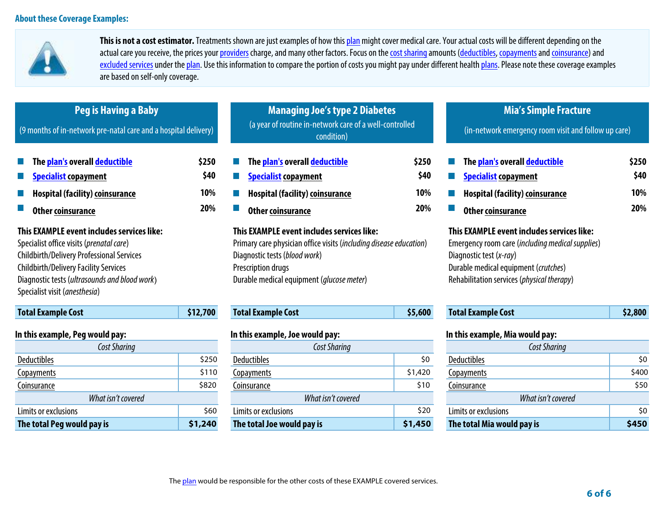

**This is not a cost estimator. Treatments shown are just examples of how this plan might cover medical care. Your actual costs will be different depending on the**  actual care you receive, the prices your providers charge, and many other factors. Focus on the cost sharing amounts (deductibles, copayments and coinsurance) and excluded services under the plan. Use this information to compare the portion of costs you might pay under different health plans. Please note these coverage examples **are based on self-only coverage.**

| Peg is Having a Baby<br>(9 months of in-network pre-natal care and a hospital delivery)                                                                                                                                                                                      |          | <b>Managing Joe's type 2 Diabetes</b><br>(a year of routine in-network care of a well-controlled<br>condition)                                                                                                                |         | <b>Mia's Simple Fracture</b><br>(in-network emergency room visit and follow up care)                                                                                                                            |                                    |
|------------------------------------------------------------------------------------------------------------------------------------------------------------------------------------------------------------------------------------------------------------------------------|----------|-------------------------------------------------------------------------------------------------------------------------------------------------------------------------------------------------------------------------------|---------|-----------------------------------------------------------------------------------------------------------------------------------------------------------------------------------------------------------------|------------------------------------|
| The plan's overall deductible<br>\$250<br>\$40<br><b>Specialist copayment</b><br>10%<br><b>Hospital (facility) coinsurance</b><br>20%<br><b>Other coinsurance</b>                                                                                                            |          | The plan's overall deductible<br>\$250<br>\$40<br><b>Specialist copayment</b><br>10%<br><b>Hospital (facility) coinsurance</b><br>20%<br><b>Other coinsurance</b>                                                             |         | The plan's overall deductible<br><b>Specialist copayment</b><br><b>Hospital (facility) coinsurance</b><br><b>Other coinsurance</b>                                                                              | \$250<br>\$40<br>10%<br><b>20%</b> |
| This EXAMPLE event includes services like:<br>Specialist office visits (prenatal care)<br><b>Childbirth/Delivery Professional Services</b><br><b>Childbirth/Delivery Facility Services</b><br>Diagnostic tests (ultrasounds and blood work)<br>Specialist visit (anesthesia) |          | This EXAMPLE event includes services like:<br>Primary care physician office visits (including disease education)<br>Diagnostic tests (blood work)<br>Prescription drugs<br>Durable medical equipment ( <i>glucose meter</i> ) |         | This EXAMPLE event includes services like:<br>Emergency room care (including medical supplies)<br>Diagnostic test (x-ray)<br>Durable medical equipment (crutches)<br>Rehabilitation services (physical therapy) |                                    |
| <b>Total Example Cost</b>                                                                                                                                                                                                                                                    | \$12,700 | <b>Total Example Cost</b>                                                                                                                                                                                                     | \$5,600 | <b>Total Example Cost</b>                                                                                                                                                                                       | \$2,800                            |
| In this example, Peg would pay:                                                                                                                                                                                                                                              |          | In this example, Joe would pay:                                                                                                                                                                                               |         | In this example, Mia would pay:                                                                                                                                                                                 |                                    |
| Cost Sharing<br><b>Deductibles</b>                                                                                                                                                                                                                                           | \$250    | Cost Sharing<br><b>Deductibles</b>                                                                                                                                                                                            | \$0     | Cost Sharing<br><b>Deductibles</b>                                                                                                                                                                              | \$0                                |
| <b>Copayments</b>                                                                                                                                                                                                                                                            | \$110    | Copayments                                                                                                                                                                                                                    | \$1,420 | Copayments                                                                                                                                                                                                      | \$400                              |
| Coinsurance                                                                                                                                                                                                                                                                  | \$820    | Coinsurance                                                                                                                                                                                                                   | \$10    | Coinsurance                                                                                                                                                                                                     | \$50                               |

| The total Peg would pay is | \$1,240 | The total Joe would pay is | \$1,450 | The total Mia would pay is | \$450 |
|----------------------------|---------|----------------------------|---------|----------------------------|-------|
| Limits or exclusions       | \$60    | Limits or exclusions       | \$20    | Limits or exclusions       | \$0   |
| What isn't covered         |         | What isn't covered         |         | What isn't covered         |       |
| Coinsurance                | \$820   | .oinsurance                | \$10    | Loinsurance                | \$50  |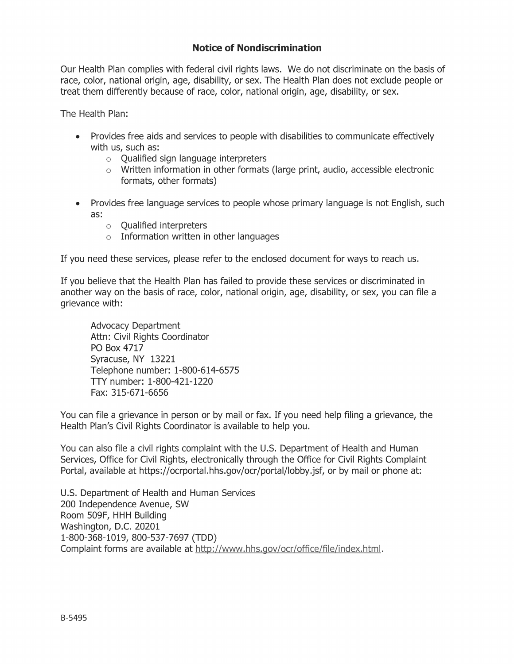# **Notice of Nondiscrimination**

Our Health Plan complies with federal civil rights laws. We do not discriminate on the basis of race, color, national origin, age, disability, or sex. The Health Plan does not exclude people or treat them differently because of race, color, national origin, age, disability, or sex.

The Health Plan:

- Provides free aids and services to people with disabilities to communicate effectively with us, such as:
	- $\circ$  Oualified sign language interpreters
	- $\circ$  Written information in other formats (large print, audio, accessible electronic formats, other formats)
- Provides free language services to people whose primary language is not English, such as:
	- $\circ$  Qualified interpreters
	- $\circ$  Information written in other languages

If you need these services, please refer to the enclosed document for ways to reach us.

If you believe that the Health Plan has failed to provide these services or discriminated in another way on the basis of race, color, national origin, age, disability, or sex, you can file a grievance with:

**Advocacy Department** Attn: Civil Rights Coordinator PO Box 4717 Syracuse, NY 13221 Telephone number: 1-800-614-6575 TTY number: 1-800-421-1220 Fax: 315-671-6656

You can file a grievance in person or by mail or fax. If you need help filing a grievance, the Health Plan's Civil Rights Coordinator is available to help you.

You can also file a civil rights complaint with the U.S. Department of Health and Human Services, Office for Civil Rights, electronically through the Office for Civil Rights Complaint Portal, available at https://ocrportal.hhs.gov/ocr/portal/lobby.jsf, or by mail or phone at:

U.S. Department of Health and Human Services 200 Independence Avenue, SW Room 509F, HHH Building Washington, D.C. 20201 1-800-368-1019, 800-537-7697 (TDD) Complaint forms are available at http://www.hhs.gov/ocr/office/file/index.html.